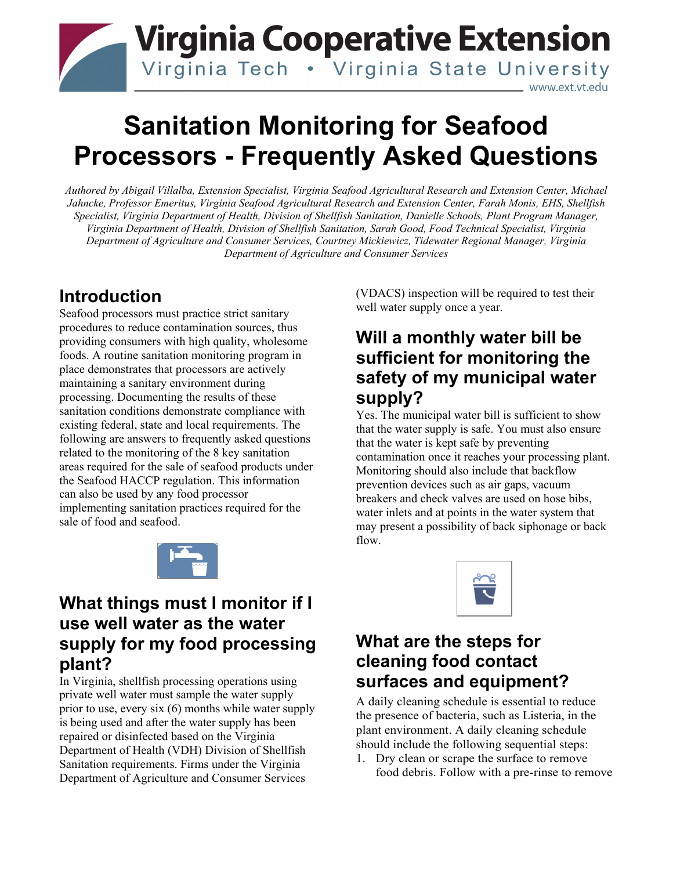## **Virginia Cooperative Extension** Virginia Tech . Virginia State University www.ext.vt.edu

# **Sanitation Monitoring for Seafood Processors - Frequently Asked Questions**

*Authored by Abigail Villalba, Extension Specialist, Virginia Seafood Agricultural Research and Extension Center, Michael Jahncke, Professor Emeritus, Virginia Seafood Agricultural Research and Extension Center, Farah Monis, EHS, Shellfish Specialist, Virginia Department of Health, Division of Shellfish Sanitation, Danielle Schools, Plant Program Manager, Virginia Department of Health, Division of Shellfish Sanitation, Sarah Good, Food Technical Specialist, Virginia Department of Agriculture and Consumer Services, Courtney Mickiewicz, Tidewater Regional Manager, Virginia Department of Agriculture and Consumer Services* 

## **Introduction**

Seafood processors must practice strict sanitary procedures to reduce contamination sources, thus providing consumers with high quality, wholesome foods. A routine sanitation monitoring program in place demonstrates that processors are actively maintaining a sanitary environment during processing. Documenting the results of these sanitation conditions demonstrate compliance with existing federal, state and local requirements. The following are answers to frequently asked questions related to the monitoring of the 8 key sanitation areas required for the sale of seafood products under the Seafood HACCP regulation. This information can also be used by any food processor implementing sanitation practices required for the sale of food and seafood.



#### **What things must I monitor if I use well water as the water supply for my food processing plant?**

In Virginia, shellfish processing operations using private well water must sample the water supply prior to use, every six (6) months while water supply is being used and after the water supply has been repaired or disinfected based on the Virginia Department of Health (VDH) Division of Shellfish Sanitation requirements. Firms under the Virginia Department of Agriculture and Consumer Services

(VDACS) inspection will be required to test their well water supply once a year.

## **Will a monthly water bill be sufficient for monitoring the safety of my municipal water supply?**

Yes. The municipal water bill is sufficient to show that the water supply is safe. You must also ensure that the water is kept safe by preventing contamination once it reaches your processing plant. Monitoring should also include that backflow prevention devices such as air gaps, vacuum breakers and check valves are used on hose bibs, water inlets and at points in the water system that may present a possibility of back siphonage or back flow.



## **What are the steps for cleaning food contact surfaces and equipment?**

A daily cleaning schedule is essential to reduce the presence of bacteria, such as Listeria, in the plant environment. A daily cleaning schedule should include the following sequential steps:

1. Dry clean or scrape the surface to remove food debris. Follow with a pre-rinse to remove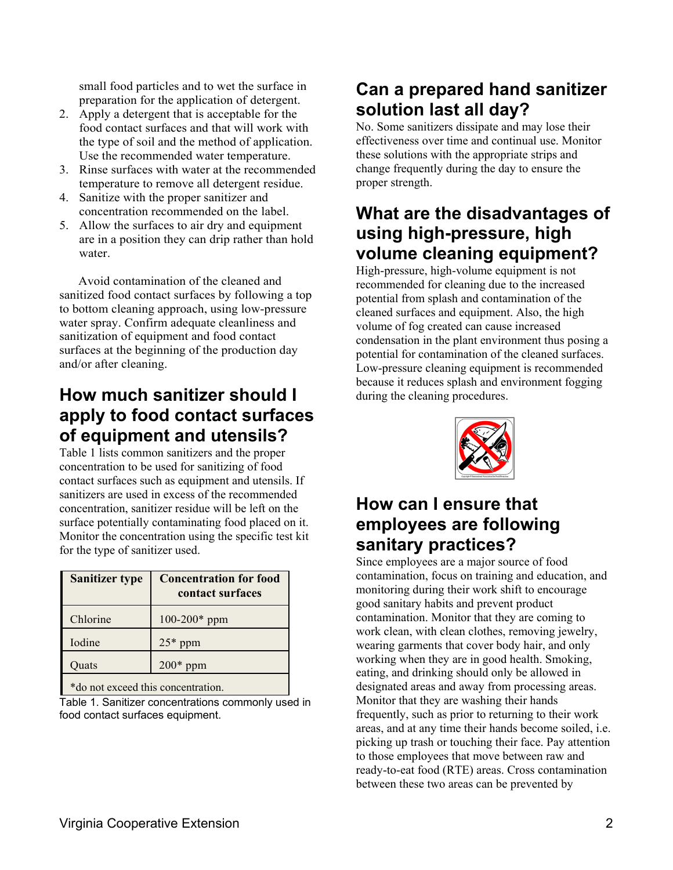small food particles and to wet the surface in preparation for the application of detergent.

- 2. Apply a detergent that is acceptable for the food contact surfaces and that will work with the type of soil and the method of application. Use the recommended water temperature.
- 3. Rinse surfaces with water at the recommended temperature to remove all detergent residue.
- 4. Sanitize with the proper sanitizer and concentration recommended on the label.
- 5. Allow the surfaces to air dry and equipment are in a position they can drip rather than hold water.

 Avoid contamination of the cleaned and sanitized food contact surfaces by following a top to bottom cleaning approach, using low-pressure water spray. Confirm adequate cleanliness and sanitization of equipment and food contact surfaces at the beginning of the production day and/or after cleaning.

## **How much sanitizer should I apply to food contact surfaces of equipment and utensils?**

Table 1 lists common sanitizers and the proper concentration to be used for sanitizing of food contact surfaces such as equipment and utensils. If sanitizers are used in excess of the recommended concentration, sanitizer residue will be left on the surface potentially contaminating food placed on it. Monitor the concentration using the specific test kit for the type of sanitizer used.

| <b>Sanitizer type</b>                 | <b>Concentration for food</b><br>contact surfaces |
|---------------------------------------|---------------------------------------------------|
| Chlorine                              | $100-200*$ ppm                                    |
| Iodine                                | $25*$ ppm                                         |
| Quats                                 | $200*$ ppm                                        |
| $*d2$ not overaged this concontration |                                                   |

\*do not exceed this concentration.

Table 1. Sanitizer concentrations commonly used in food contact surfaces equipment.

## **Can a prepared hand sanitizer solution last all day?**

No. Some sanitizers dissipate and may lose their effectiveness over time and continual use. Monitor these solutions with the appropriate strips and change frequently during the day to ensure the proper strength.

#### **What are the disadvantages of using high-pressure, high volume cleaning equipment?**

High-pressure, high-volume equipment is not recommended for cleaning due to the increased potential from splash and contamination of the cleaned surfaces and equipment. Also, the high volume of fog created can cause increased condensation in the plant environment thus posing a potential for contamination of the cleaned surfaces. Low-pressure cleaning equipment is recommended because it reduces splash and environment fogging during the cleaning procedures.



## **How can I ensure that employees are following sanitary practices?**

Since employees are a major source of food contamination, focus on training and education, and monitoring during their work shift to encourage good sanitary habits and prevent product contamination. Monitor that they are coming to work clean, with clean clothes, removing jewelry, wearing garments that cover body hair, and only working when they are in good health. Smoking, eating, and drinking should only be allowed in designated areas and away from processing areas. Monitor that they are washing their hands frequently, such as prior to returning to their work areas, and at any time their hands become soiled, i.e. picking up trash or touching their face. Pay attention to those employees that move between raw and ready-to-eat food (RTE) areas. Cross contamination between these two areas can be prevented by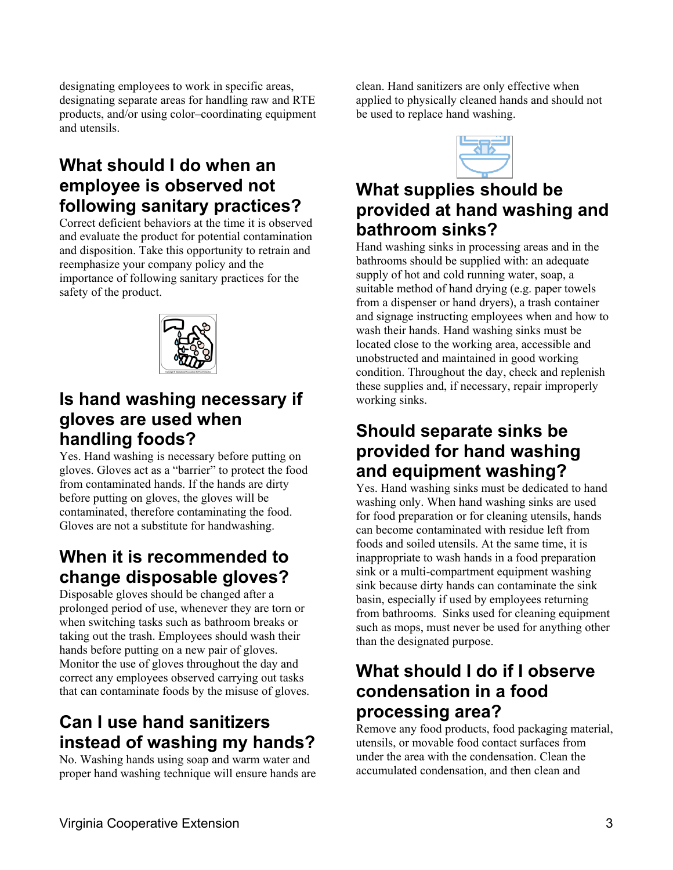designating employees to work in specific areas, designating separate areas for handling raw and RTE products, and/or using color–coordinating equipment and utensils.

## **What should I do when an employee is observed not following sanitary practices?**

Correct deficient behaviors at the time it is observed and evaluate the product for potential contamination and disposition. Take this opportunity to retrain and reemphasize your company policy and the importance of following sanitary practices for the safety of the product.



## **Is hand washing necessary if gloves are used when handling foods?**

Yes. Hand washing is necessary before putting on gloves. Gloves act as a "barrier" to protect the food from contaminated hands. If the hands are dirty before putting on gloves, the gloves will be contaminated, therefore contaminating the food. Gloves are not a substitute for handwashing.

## **When it is recommended to change disposable gloves?**

Disposable gloves should be changed after a prolonged period of use, whenever they are torn or when switching tasks such as bathroom breaks or taking out the trash. Employees should wash their hands before putting on a new pair of gloves. Monitor the use of gloves throughout the day and correct any employees observed carrying out tasks that can contaminate foods by the misuse of gloves.

## **Can I use hand sanitizers instead of washing my hands?**

No. Washing hands using soap and warm water and proper hand washing technique will ensure hands are

clean. Hand sanitizers are only effective when applied to physically cleaned hands and should not be used to replace hand washing.

## **What supplies should be provided at hand washing and bathroom sinks?**

Hand washing sinks in processing areas and in the bathrooms should be supplied with: an adequate supply of hot and cold running water, soap, a suitable method of hand drying (e.g. paper towels from a dispenser or hand dryers), a trash container and signage instructing employees when and how to wash their hands. Hand washing sinks must be located close to the working area, accessible and unobstructed and maintained in good working condition. Throughout the day, check and replenish these supplies and, if necessary, repair improperly working sinks.

## **Should separate sinks be provided for hand washing and equipment washing?**

Yes. Hand washing sinks must be dedicated to hand washing only. When hand washing sinks are used for food preparation or for cleaning utensils, hands can become contaminated with residue left from foods and soiled utensils. At the same time, it is inappropriate to wash hands in a food preparation sink or a multi-compartment equipment washing sink because dirty hands can contaminate the sink basin, especially if used by employees returning from bathrooms. Sinks used for cleaning equipment such as mops, must never be used for anything other than the designated purpose.

## **What should I do if I observe condensation in a food processing area?**

Remove any food products, food packaging material, utensils, or movable food contact surfaces from under the area with the condensation. Clean the accumulated condensation, and then clean and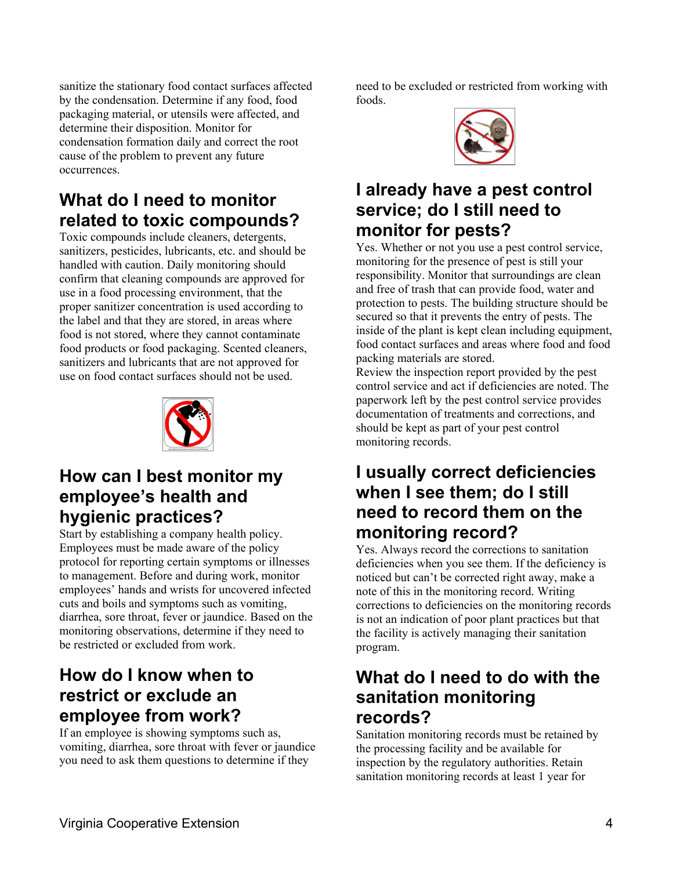sanitize the stationary food contact surfaces affected by the condensation. Determine if any food, food packaging material, or utensils were affected, and determine their disposition. Monitor for condensation formation daily and correct the root cause of the problem to prevent any future occurrences.

## **What do I need to monitor related to toxic compounds?**

Toxic compounds include cleaners, detergents, sanitizers, pesticides, lubricants, etc. and should be handled with caution. Daily monitoring should confirm that cleaning compounds are approved for use in a food processing environment, that the proper sanitizer concentration is used according to the label and that they are stored, in areas where food is not stored, where they cannot contaminate food products or food packaging. Scented cleaners, sanitizers and lubricants that are not approved for use on food contact surfaces should not be used.



## **How can I best monitor my employee's health and hygienic practices?**

Start by establishing a company health policy. Employees must be made aware of the policy protocol for reporting certain symptoms or illnesses to management. Before and during work, monitor employees' hands and wrists for uncovered infected cuts and boils and symptoms such as vomiting, diarrhea, sore throat, fever or jaundice. Based on the monitoring observations, determine if they need to be restricted or excluded from work.

## **How do I know when to restrict or exclude an employee from work?**

If an employee is showing symptoms such as, vomiting, diarrhea, sore throat with fever or jaundice you need to ask them questions to determine if they

need to be excluded or restricted from working with foods.



## **I already have a pest control service; do I still need to monitor for pests?**

Yes. Whether or not you use a pest control service, monitoring for the presence of pest is still your responsibility. Monitor that surroundings are clean and free of trash that can provide food, water and protection to pests. The building structure should be secured so that it prevents the entry of pests. The inside of the plant is kept clean including equipment, food contact surfaces and areas where food and food packing materials are stored.

Review the inspection report provided by the pest control service and act if deficiencies are noted. The paperwork left by the pest control service provides documentation of treatments and corrections, and should be kept as part of your pest control monitoring records.

## **I usually correct deficiencies when I see them; do I still need to record them on the monitoring record?**

Yes. Always record the corrections to sanitation deficiencies when you see them. If the deficiency is noticed but can't be corrected right away, make a note of this in the monitoring record. Writing corrections to deficiencies on the monitoring records is not an indication of poor plant practices but that the facility is actively managing their sanitation program.

## **What do I need to do with the sanitation monitoring records?**

Sanitation monitoring records must be retained by the processing facility and be available for inspection by the regulatory authorities. Retain sanitation monitoring records at least 1 year for